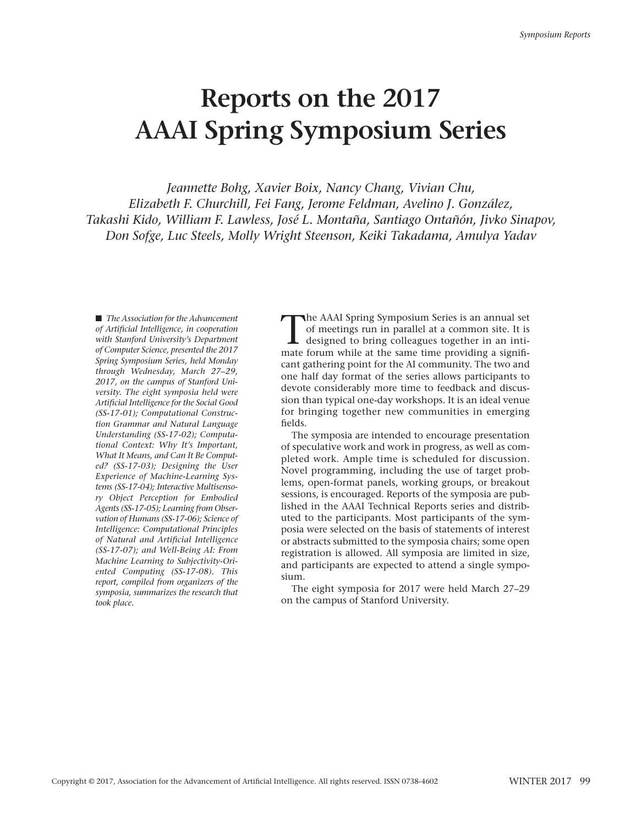# **Reports on the 2017 AAAI Spring Symposium Series**

*Jeannette Bohg, Xavier Boix, Nancy Chang, Vivian Chu, Elizabeth F. Churchill, Fei Fang, Jerome Feldman, Avelino J. González, Takashi Kido, William F. Lawless, José L. Montaña, Santiago Ontañón, Jivko Sinapov, Don Sofge, Luc Steels, Molly Wright Steenson, Keiki Takadama, Amulya Yadav*

■ *The Association for the Advancement of Artificial Intelligence, in cooperation with Stanford University's Department of Computer Science, presented the 2017 Spring Symposium Series, held Monday through Wednesday, March 27–29, 2017, on the campus of Stanford University. The eight symposia held were Artificial Intelligence for the Social Good (SS-17-01); Computational Construction Grammar and Natural Language Understanding (SS-17-02); Computational Context: Why It's Important, What It Means, and Can It Be Computed? (SS-17-03); Designing the User Experience of Machine-Learning Systems (SS-17-04); Interactive Multisensory Object Perception for Embodied Agents (SS-17-05); Learning from Observation of Humans (SS-17-06); Science of Intelligence: Computational Principles of Natural and Artificial Intelligence (SS-17-07); and Well-Being AI: From Machine Learning to Subjectivity-Oriented Computing (SS-17-08). This report, compiled from organizers of the symposia, summarizes the research that took place.*

The AAAI Spring Symposium Series is an annual set<br>of meetings run in parallel at a common site. It is<br>designed to bring colleagues together in an inti-<br>mate forum while at the same time providing a signifiof meetings run in parallel at a common site. It is mate forum while at the same time providing a significant gathering point for the AI community. The two and one half day format of the series allows participants to devote considerably more time to feedback and discussion than typical one-day workshops. It is an ideal venue for bringing together new communities in emerging fields.

The symposia are intended to encourage presentation of speculative work and work in progress, as well as completed work. Ample time is scheduled for discussion. Novel programming, including the use of target problems, open-format panels, working groups, or breakout sessions, is encouraged. Reports of the symposia are published in the AAAI Technical Reports series and distributed to the participants. Most participants of the symposia were selected on the basis of statements of interest or abstracts submitted to the symposia chairs; some open registration is allowed. All symposia are limited in size, and participants are expected to attend a single symposium.

The eight symposia for 2017 were held March 27–29 on the campus of Stanford University.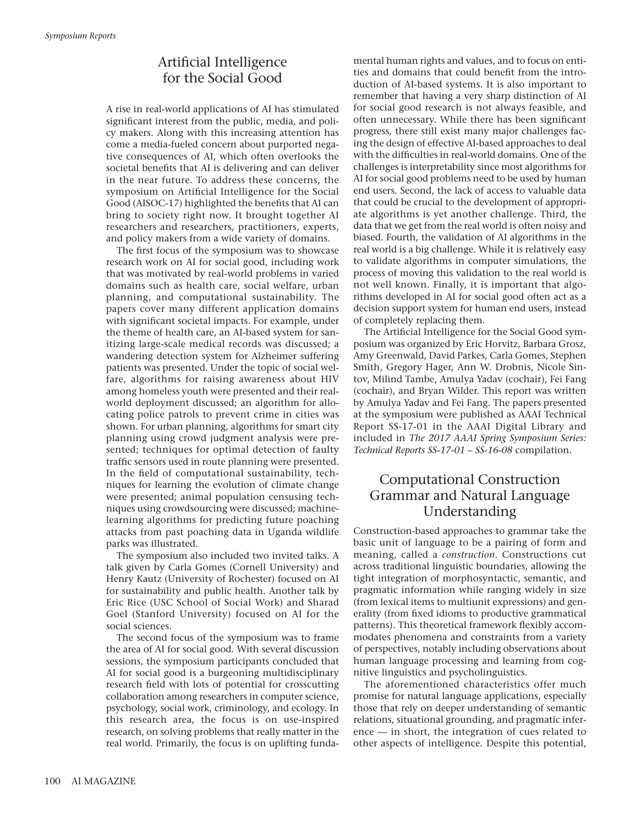## Artificial Intelligence for the Social Good

A rise in real-world applications of AI has stimulated significant interest from the public, media, and policy makers. Along with this increasing attention has come a media-fueled concern about purported negative consequences of AI, which often overlooks the societal benefits that AI is delivering and can deliver in the near future. To address these concerns, the symposium on Artificial Intelligence for the Social Good (AISOC-17) highlighted the benefits that AI can bring to society right now. It brought together AI researchers and researchers, practitioners, experts, and policy makers from a wide variety of domains.

The first focus of the symposium was to showcase research work on AI for social good, including work that was motivated by real-world problems in varied domains such as health care, social welfare, urban planning, and computational sustainability. The papers cover many different application domains with significant societal impacts. For example, under the theme of health care, an AI-based system for sanitizing large-scale medical records was discussed; a wandering detection system for Alzheimer suffering patients was presented. Under the topic of social welfare, algorithms for raising awareness about HIV among homeless youth were presented and their realworld deployment discussed; an algorithm for allocating police patrols to prevent crime in cities was shown. For urban planning, algorithms for smart city planning using crowd judgment analysis were presented; techniques for optimal detection of faulty traffic sensors used in route planning were presented. In the field of computational sustainability, techniques for learning the evolution of climate change were presented; animal population censusing techniques using crowdsourcing were discussed; machinelearning algorithms for predicting future poaching attacks from past poaching data in Uganda wildlife parks was illustrated.

The symposium also included two invited talks. A talk given by Carla Gomes (Cornell University) and Henry Kautz (University of Rochester) focused on AI for sustainability and public health. Another talk by Eric Rice (USC School of Social Work) and Sharad Goel (Stanford University) focused on AI for the social sciences.

The second focus of the symposium was to frame the area of AI for social good. With several discussion sessions, the symposium participants concluded that AI for social good is a burgeoning multidisciplinary research field with lots of potential for crosscutting collaboration among researchers in computer science, psychology, social work, criminology, and ecology. In this research area, the focus is on use-inspired research, on solving problems that really matter in the real world. Primarily, the focus is on uplifting fundamental human rights and values, and to focus on entities and domains that could benefit from the introduction of AI-based systems. It is also important to remember that having a very sharp distinction of AI for social good research is not always feasible, and often unnecessary. While there has been significant progress, there still exist many major challenges facing the design of effective AI-based approaches to deal with the difficulties in real-world domains. One of the challenges is interpretability since most algorithms for AI for social good problems need to be used by human end users. Second, the lack of access to valuable data that could be crucial to the development of appropriate algorithms is yet another challenge. Third, the data that we get from the real world is often noisy and biased. Fourth, the validation of AI algorithms in the real world is a big challenge. While it is relatively easy to validate algorithms in computer simulations, the process of moving this validation to the real world is not well known. Finally, it is important that algorithms developed in AI for social good often act as a decision support system for human end users, instead of completely replacing them.

The Artificial Intelligence for the Social Good symposium was organized by Eric Horvitz, Barbara Grosz, Amy Greenwald, David Parkes, Carla Gomes, Stephen Smith, Gregory Hager, Ann W. Drobnis, Nicole Sintov, Milind Tambe, Amulya Yadav (cochair), Fei Fang (cochair), and Bryan Wilder. This report was written by Amulya Yadav and Fei Fang. The papers presented at the symposium were published as AAAI Technical Report SS-17-01 in the AAAI Digital Library and included in *The 2017 AAAI Spring Symposium Series: Technical Reports SS-17-01 – SS-16-08* compilation.

## Computational Construction Grammar and Natural Language Understanding

Construction-based approaches to grammar take the basic unit of language to be a pairing of form and meaning, called a *construction.* Constructions cut across traditional linguistic boundaries, allowing the tight integration of morphosyntactic, semantic, and pragmatic information while ranging widely in size (from lexical items to multiunit expressions) and generality (from fixed idioms to productive grammatical patterns). This theoretical framework flexibly accommodates phenomena and constraints from a variety of perspectives, notably including observations about human language processing and learning from cognitive linguistics and psycholinguistics.

The aforementioned characteristics offer much promise for natural language applications, especially those that rely on deeper understanding of semantic relations, situational grounding, and pragmatic inference — in short, the integration of cues related to other aspects of intelligence. Despite this potential,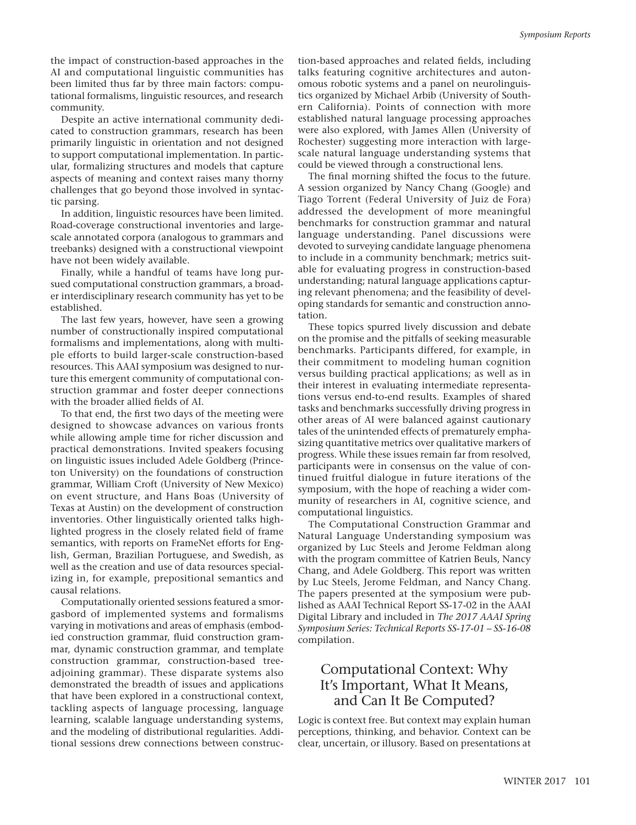the impact of construction-based approaches in the AI and computational linguistic communities has been limited thus far by three main factors: computational formalisms, linguistic resources, and research community.

Despite an active international community dedicated to construction grammars, research has been primarily linguistic in orientation and not designed to support computational implementation. In particular, formalizing structures and models that capture aspects of meaning and context raises many thorny challenges that go beyond those involved in syntactic parsing.

In addition, linguistic resources have been limited. Road-coverage constructional inventories and largescale annotated corpora (analogous to grammars and treebanks) designed with a constructional viewpoint have not been widely available.

Finally, while a handful of teams have long pursued computational construction grammars, a broader interdisciplinary research community has yet to be established.

The last few years, however, have seen a growing number of constructionally inspired computational formalisms and implementations, along with multiple efforts to build larger-scale construction-based resources. This AAAI symposium was designed to nurture this emergent community of computational construction grammar and foster deeper connections with the broader allied fields of AI.

To that end, the first two days of the meeting were designed to showcase advances on various fronts while allowing ample time for richer discussion and practical demonstrations. Invited speakers focusing on linguistic issues included Adele Goldberg (Princeton University) on the foundations of construction grammar, William Croft (University of New Mexico) on event structure, and Hans Boas (University of Texas at Austin) on the development of construction inventories. Other linguistically oriented talks highlighted progress in the closely related field of frame semantics, with reports on FrameNet efforts for English, German, Brazilian Portuguese, and Swedish, as well as the creation and use of data resources specializing in, for example, prepositional semantics and causal relations.

Computationally oriented sessions featured a smorgasbord of implemented systems and formalisms varying in motivations and areas of emphasis (embodied construction grammar, fluid construction grammar, dynamic construction grammar, and template construction grammar, construction-based treeadjoining grammar). These disparate systems also demonstrated the breadth of issues and applications that have been explored in a constructional context, tackling aspects of language processing, language learning, scalable language understanding systems, and the modeling of distributional regularities. Additional sessions drew connections between construction-based approaches and related fields, including talks featuring cognitive architectures and autonomous robotic systems and a panel on neurolinguistics organized by Michael Arbib (University of Southern California). Points of connection with more established natural language processing approaches were also explored, with James Allen (University of Rochester) suggesting more interaction with largescale natural language understanding systems that could be viewed through a constructional lens.

The final morning shifted the focus to the future. A session organized by Nancy Chang (Google) and Tiago Torrent (Federal University of Juiz de Fora) addressed the development of more meaningful benchmarks for construction grammar and natural language understanding. Panel discussions were devoted to surveying candidate language phenomena to include in a community benchmark; metrics suitable for evaluating progress in construction-based understanding; natural language applications capturing relevant phenomena; and the feasibility of developing standards for semantic and construction annotation.

These topics spurred lively discussion and debate on the promise and the pitfalls of seeking measurable benchmarks. Participants differed, for example, in their commitment to modeling human cognition versus building practical applications; as well as in their interest in evaluating intermediate representations versus end-to-end results. Examples of shared tasks and benchmarks successfully driving progress in other areas of AI were balanced against cautionary tales of the unintended effects of prematurely emphasizing quantitative metrics over qualitative markers of progress. While these issues remain far from resolved, participants were in consensus on the value of continued fruitful dialogue in future iterations of the symposium, with the hope of reaching a wider community of researchers in AI, cognitive science, and computational linguistics.

The Computational Construction Grammar and Natural Language Understanding symposium was organized by Luc Steels and Jerome Feldman along with the program committee of Katrien Beuls, Nancy Chang, and Adele Goldberg. This report was written by Luc Steels, Jerome Feldman, and Nancy Chang. The papers presented at the symposium were published as AAAI Technical Report SS-17-02 in the AAAI Digital Library and included in *The 2017 AAAI Spring Symposium Series: Technical Reports SS-17-01 – SS-16-08* compilation.

## Computational Context: Why It's Important, What It Means, and Can It Be Computed?

Logic is context free. But context may explain human perceptions, thinking, and behavior. Context can be clear, uncertain, or illusory. Based on presentations at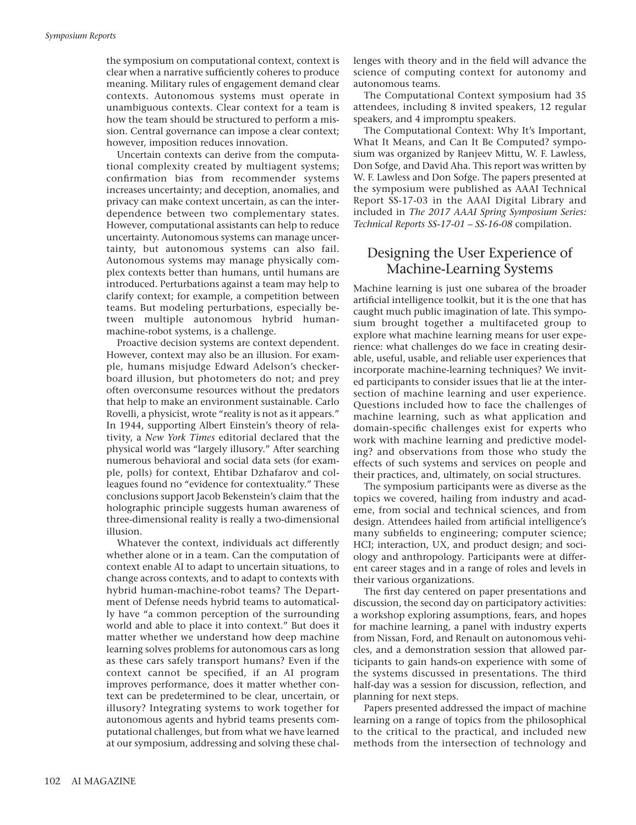the symposium on computational context, context is clear when a narrative sufficiently coheres to produce meaning. Military rules of engagement demand clear contexts. Autonomous systems must operate in unambiguous contexts. Clear context for a team is how the team should be structured to perform a mission. Central governance can impose a clear context; however, imposition reduces innovation.

Uncertain contexts can derive from the computational complexity created by multiagent systems; confirmation bias from recommender systems increases uncertainty; and deception, anomalies, and privacy can make context uncertain, as can the interdependence between two complementary states. However, computational assistants can help to reduce uncertainty. Autonomous systems can manage uncertainty, but autonomous systems can also fail. Autonomous systems may manage physically complex contexts better than humans, until humans are introduced. Perturbations against a team may help to clarify context; for example, a competition between teams. But modeling perturbations, especially between multiple autonomous hybrid humanmachine-robot systems, is a challenge.

Proactive decision systems are context dependent. However, context may also be an illusion. For example, humans misjudge Edward Adelson's checkerboard illusion, but photometers do not; and prey often overconsume resources without the predators that help to make an environment sustainable. Carlo Rovelli, a physicist, wrote "reality is not as it appears." In 1944, supporting Albert Einstein's theory of relativity, a *New York Times* editorial declared that the physical world was "largely illusory." After searching numerous behavioral and social data sets (for example, polls) for context, Ehtibar Dzhafarov and colleagues found no "evidence for contextuality." These conclusions support Jacob Bekenstein's claim that the holographic principle suggests human awareness of three-dimensional reality is really a two-dimensional illusion.

Whatever the context, individuals act differently whether alone or in a team. Can the computation of context enable AI to adapt to uncertain situations, to change across contexts, and to adapt to contexts with hybrid human-machine-robot teams? The Department of Defense needs hybrid teams to automatically have "a common perception of the surrounding world and able to place it into context." But does it matter whether we understand how deep machine learning solves problems for autonomous cars as long as these cars safely transport humans? Even if the context cannot be specified, if an AI program improves performance, does it matter whether context can be predetermined to be clear, uncertain, or illusory? Integrating systems to work together for autonomous agents and hybrid teams presents computational challenges, but from what we have learned at our symposium, addressing and solving these challenges with theory and in the field will advance the science of computing context for autonomy and autonomous teams.

The Computational Context symposium had 35 attendees, including 8 invited speakers, 12 regular speakers, and 4 impromptu speakers.

The Computational Context: Why It's Important, What It Means, and Can It Be Computed? symposium was organized by Ranjeev Mittu, W. F. Lawless, Don Sofge, and David Aha. This report was written by W. F. Lawless and Don Sofge. The papers presented at the symposium were published as AAAI Technical Report SS-17-03 in the AAAI Digital Library and included in *The 2017 AAAI Spring Symposium Series: Technical Reports SS-17-01 – SS-16-08* compilation.

### Designing the User Experience of Machine-Learning Systems

Machine learning is just one subarea of the broader artificial intelligence toolkit, but it is the one that has caught much public imagination of late. This symposium brought together a multifaceted group to explore what machine learning means for user experience: what challenges do we face in creating desirable, useful, usable, and reliable user experiences that incorporate machine-learning techniques? We invited participants to consider issues that lie at the intersection of machine learning and user experience. Questions included how to face the challenges of machine learning, such as what application and domain-specific challenges exist for experts who work with machine learning and predictive modeling? and observations from those who study the effects of such systems and services on people and their practices, and, ultimately, on social structures.

The symposium participants were as diverse as the topics we covered, hailing from industry and academe, from social and technical sciences, and from design. Attendees hailed from artificial intelligence's many subfields to engineering; computer science; HCI; interaction, UX, and product design; and sociology and anthropology. Participants were at different career stages and in a range of roles and levels in their various organizations.

The first day centered on paper presentations and discussion, the second day on participatory activities: a workshop exploring assumptions, fears, and hopes for machine learning, a panel with industry experts from Nissan, Ford, and Renault on autonomous vehicles, and a demonstration session that allowed participants to gain hands-on experience with some of the systems discussed in presentations. The third half-day was a session for discussion, reflection, and planning for next steps.

Papers presented addressed the impact of machine learning on a range of topics from the philosophical to the critical to the practical, and included new methods from the intersection of technology and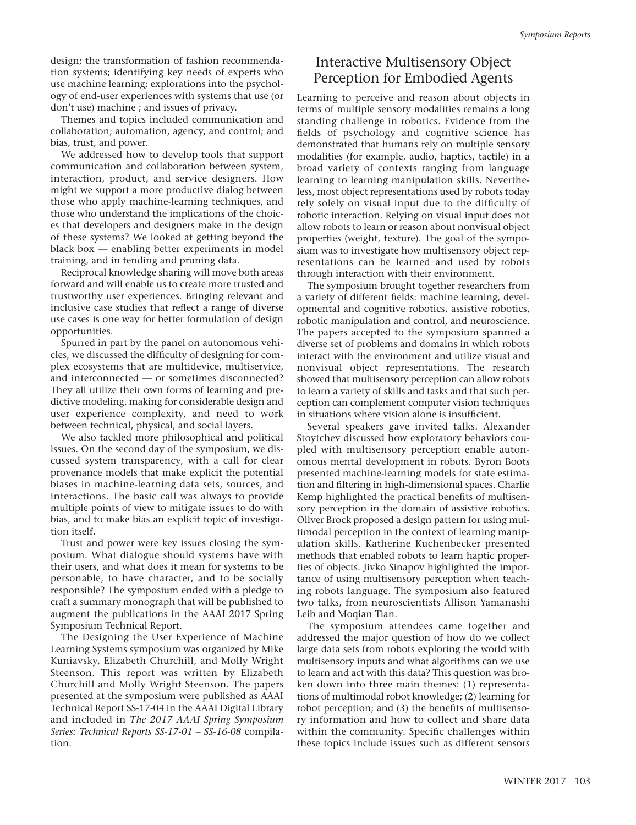design; the transformation of fashion recommendation systems; identifying key needs of experts who use machine learning; explorations into the psychology of end-user experiences with systems that use (or don't use) machine ; and issues of privacy.

Themes and topics included communication and collaboration; automation, agency, and control; and bias, trust, and power.

We addressed how to develop tools that support communication and collaboration between system, interaction, product, and service designers. How might we support a more productive dialog between those who apply machine-learning techniques, and those who understand the implications of the choices that developers and designers make in the design of these systems? We looked at getting beyond the black box — enabling better experiments in model training, and in tending and pruning data.

Reciprocal knowledge sharing will move both areas forward and will enable us to create more trusted and trustworthy user experiences. Bringing relevant and inclusive case studies that reflect a range of diverse use cases is one way for better formulation of design opportunities.

Spurred in part by the panel on autonomous vehicles, we discussed the difficulty of designing for complex ecosystems that are multidevice, multiservice, and interconnected — or sometimes disconnected? They all utilize their own forms of learning and predictive modeling, making for considerable design and user experience complexity, and need to work between technical, physical, and social layers.

We also tackled more philosophical and political issues. On the second day of the symposium, we discussed system transparency, with a call for clear provenance models that make explicit the potential biases in machine-learning data sets, sources, and interactions. The basic call was always to provide multiple points of view to mitigate issues to do with bias, and to make bias an explicit topic of investigation itself.

Trust and power were key issues closing the symposium. What dialogue should systems have with their users, and what does it mean for systems to be personable, to have character, and to be socially responsible? The symposium ended with a pledge to craft a summary monograph that will be published to augment the publications in the AAAI 2017 Spring Symposium Technical Report.

The Designing the User Experience of Machine Learning Systems symposium was organized by Mike Kuniavsky, Elizabeth Churchill, and Molly Wright Steenson. This report was written by Elizabeth Churchill and Molly Wright Steenson. The papers presented at the symposium were published as AAAI Technical Report SS-17-04 in the AAAI Digital Library and included in *The 2017 AAAI Spring Symposium Series: Technical Reports SS-17-01 – SS-16-08* compilation.

## Interactive Multisensory Object Perception for Embodied Agents

Learning to perceive and reason about objects in terms of multiple sensory modalities remains a long standing challenge in robotics. Evidence from the fields of psychology and cognitive science has demonstrated that humans rely on multiple sensory modalities (for example, audio, haptics, tactile) in a broad variety of contexts ranging from language learning to learning manipulation skills. Nevertheless, most object representations used by robots today rely solely on visual input due to the difficulty of robotic interaction. Relying on visual input does not allow robots to learn or reason about nonvisual object properties (weight, texture). The goal of the symposium was to investigate how multisensory object representations can be learned and used by robots through interaction with their environment.

The symposium brought together researchers from a variety of different fields: machine learning, developmental and cognitive robotics, assistive robotics, robotic manipulation and control, and neuroscience. The papers accepted to the symposium spanned a diverse set of problems and domains in which robots interact with the environment and utilize visual and nonvisual object representations. The research showed that multisensory perception can allow robots to learn a variety of skills and tasks and that such perception can complement computer vision techniques in situations where vision alone is insufficient.

Several speakers gave invited talks. Alexander Stoytchev discussed how exploratory behaviors coupled with multisensory perception enable autonomous mental development in robots. Byron Boots presented machine-learning models for state estimation and filtering in high-dimensional spaces. Charlie Kemp highlighted the practical benefits of multisensory perception in the domain of assistive robotics. Oliver Brock proposed a design pattern for using multimodal perception in the context of learning manipulation skills. Katherine Kuchenbecker presented methods that enabled robots to learn haptic properties of objects. Jivko Sinapov highlighted the importance of using multisensory perception when teaching robots language. The symposium also featured two talks, from neuroscientists Allison Yamanashi Leib and Moqian Tian.

The symposium attendees came together and addressed the major question of how do we collect large data sets from robots exploring the world with multisensory inputs and what algorithms can we use to learn and act with this data? This question was broken down into three main themes: (1) representations of multimodal robot knowledge; (2) learning for robot perception; and (3) the benefits of multisensory information and how to collect and share data within the community. Specific challenges within these topics include issues such as different sensors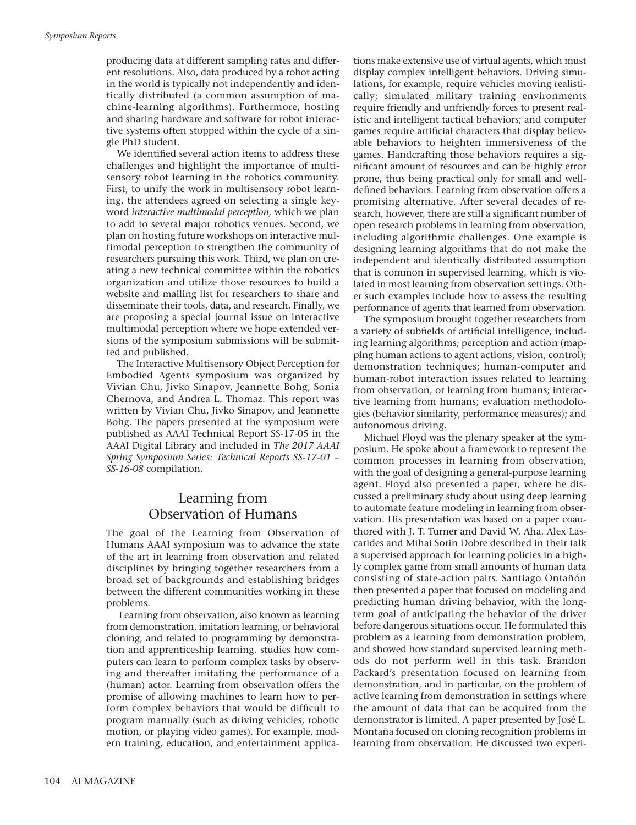producing data at different sampling rates and different resolutions. Also, data produced by a robot acting in the world is typically not independently and identically distributed (a common assumption of machine-learning algorithms). Furthermore, hosting and sharing hardware and software for robot interactive systems often stopped within the cycle of a single PhD student.

We identified several action items to address these challenges and highlight the importance of multisensory robot learning in the robotics community. First, to unify the work in multisensory robot learning, the attendees agreed on selecting a single keyword *interactive multimodal perception,* which we plan to add to several major robotics venues. Second, we plan on hosting future workshops on interactive multimodal perception to strengthen the community of researchers pursuing this work. Third, we plan on creating a new technical committee within the robotics organization and utilize those resources to build a website and mailing list for researchers to share and disseminate their tools, data, and research. Finally, we are proposing a special journal issue on interactive multimodal perception where we hope extended versions of the symposium submissions will be submitted and published.

The Interactive Multisensory Object Perception for Embodied Agents symposium was organized by Vivian Chu, Jivko Sinapov, Jeannette Bohg, Sonia Chernova, and Andrea L. Thomaz. This report was written by Vivian Chu, Jivko Sinapov, and Jeannette Bohg. The papers presented at the symposium were published as AAAI Technical Report SS-17-05 in the AAAI Digital Library and included in *The 2017 AAAI Spring Symposium Series: Technical Reports SS-17-01 – SS-16-08* compilation.

#### Learning from Observation of Humans

The goal of the Learning from Observation of Humans AAAI symposium was to advance the state of the art in learning from observation and related disciplines by bringing together researchers from a broad set of backgrounds and establishing bridges between the different communities working in these problems.

Learning from observation, also known as learning from demonstration, imitation learning, or behavioral cloning, and related to programming by demonstration and apprenticeship learning, studies how computers can learn to perform complex tasks by observing and thereafter imitating the performance of a (human) actor. Learning from observation offers the promise of allowing machines to learn how to perform complex behaviors that would be difficult to program manually (such as driving vehicles, robotic motion, or playing video games). For example, modern training, education, and entertainment applications make extensive use of virtual agents, which must display complex intelligent behaviors. Driving simulations, for example, require vehicles moving realistically; simulated military training environments require friendly and unfriendly forces to present realistic and intelligent tactical behaviors; and computer games require artificial characters that display believable behaviors to heighten immersiveness of the games. Handcrafting those behaviors requires a significant amount of resources and can be highly error prone, thus being practical only for small and welldefined behaviors. Learning from observation offers a promising alternative. After several decades of research, however, there are still a significant number of open research problems in learning from observation, including algorithmic challenges. One example is designing learning algorithms that do not make the independent and identically distributed assumption that is common in supervised learning, which is violated in most learning from observation settings. Other such examples include how to assess the resulting performance of agents that learned from observation.

The symposium brought together researchers from a variety of subfields of artificial intelligence, including learning algorithms; perception and action (mapping human actions to agent actions, vision, control); demonstration techniques; human-computer and human-robot interaction issues related to learning from observation, or learning from humans; interactive learning from humans; evaluation methodologies (behavior similarity, performance measures); and autonomous driving.

Michael Floyd was the plenary speaker at the symposium. He spoke about a framework to represent the common processes in learning from observation, with the goal of designing a general-purpose learning agent. Floyd also presented a paper, where he discussed a preliminary study about using deep learning to automate feature modeling in learning from observation. His presentation was based on a paper coauthored with J. T. Turner and David W. Aha. Alex Lascarides and Mihai Sorin Dobre described in their talk a supervised approach for learning policies in a highly complex game from small amounts of human data consisting of state-action pairs. Santiago Ontañón then presented a paper that focused on modeling and predicting human driving behavior, with the longterm goal of anticipating the behavior of the driver before dangerous situations occur. He formulated this problem as a learning from demonstration problem, and showed how standard supervised learning methods do not perform well in this task. Brandon Packard's presentation focused on learning from demonstration, and in particular, on the problem of active learning from demonstration in settings where the amount of data that can be acquired from the demonstrator is limited. A paper presented by José L. Montaña focused on cloning recognition problems in learning from observation. He discussed two experi-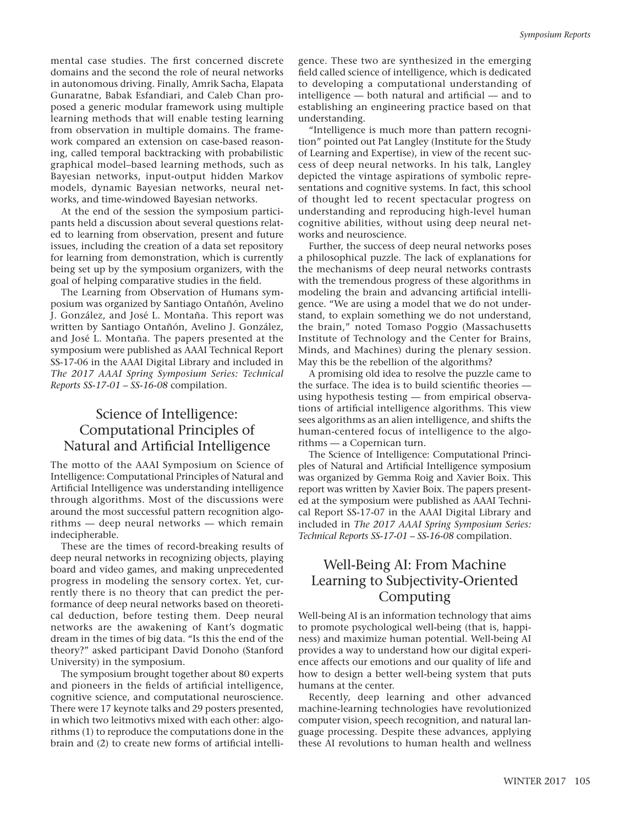mental case studies. The first concerned discrete domains and the second the role of neural networks in autonomous driving. Finally, Amrik Sacha, Elapata Gunaratne, Babak Esfandiari, and Caleb Chan proposed a generic modular framework using multiple learning methods that will enable testing learning from observation in multiple domains. The framework compared an extension on case-based reasoning, called temporal backtracking with probabilistic graphical model–based learning methods, such as Bayesian networks, input-output hidden Markov models, dynamic Bayesian networks, neural networks, and time-windowed Bayesian networks.

At the end of the session the symposium participants held a discussion about several questions related to learning from observation, present and future issues, including the creation of a data set repository for learning from demonstration, which is currently being set up by the symposium organizers, with the goal of helping comparative studies in the field.

The Learning from Observation of Humans symposium was organized by Santiago Ontañón, Avelino J. González, and José L. Montaña. This report was written by Santiago Ontañón, Avelino J. González, and José L. Montaña. The papers presented at the symposium were published as AAAI Technical Report SS-17-06 in the AAAI Digital Library and included in *The 2017 AAAI Spring Symposium Series: Technical Reports SS-17-01 – SS-16-08* compilation.

### Science of Intelligence: Computational Principles of Natural and Artificial Intelligence

The motto of the AAAI Symposium on Science of Intelligence: Computational Principles of Natural and Artificial Intelligence was understanding intelligence through algorithms. Most of the discussions were around the most successful pattern recognition algorithms — deep neural networks — which remain indecipherable.

These are the times of record-breaking results of deep neural networks in recognizing objects, playing board and video games, and making unprecedented progress in modeling the sensory cortex. Yet, currently there is no theory that can predict the performance of deep neural networks based on theoretical deduction, before testing them. Deep neural networks are the awakening of Kant's dogmatic dream in the times of big data. "Is this the end of the theory?" asked participant David Donoho (Stanford University) in the symposium.

The symposium brought together about 80 experts and pioneers in the fields of artificial intelligence, cognitive science, and computational neuroscience. There were 17 keynote talks and 29 posters presented, in which two leitmotivs mixed with each other: algorithms (1) to reproduce the computations done in the brain and (2) to create new forms of artificial intelli-

gence. These two are synthesized in the emerging field called science of intelligence, which is dedicated to developing a computational understanding of intelligence — both natural and artificial — and to establishing an engineering practice based on that understanding.

"Intelligence is much more than pattern recognition" pointed out Pat Langley (Institute for the Study of Learning and Expertise), in view of the recent success of deep neural networks. In his talk, Langley depicted the vintage aspirations of symbolic representations and cognitive systems. In fact, this school of thought led to recent spectacular progress on understanding and reproducing high-level human cognitive abilities, without using deep neural networks and neuroscience.

Further, the success of deep neural networks poses a philosophical puzzle. The lack of explanations for the mechanisms of deep neural networks contrasts with the tremendous progress of these algorithms in modeling the brain and advancing artificial intelligence. "We are using a model that we do not understand, to explain something we do not understand, the brain," noted Tomaso Poggio (Massachusetts Institute of Technology and the Center for Brains, Minds, and Machines) during the plenary session. May this be the rebellion of the algorithms?

A promising old idea to resolve the puzzle came to the surface. The idea is to build scientific theories using hypothesis testing — from empirical observations of artificial intelligence algorithms. This view sees algorithms as an alien intelligence, and shifts the human-centered focus of intelligence to the algorithms — a Copernican turn.

The Science of Intelligence: Computational Principles of Natural and Artificial Intelligence symposium was organized by Gemma Roig and Xavier Boix. This report was written by Xavier Boix. The papers presented at the symposium were published as AAAI Technical Report SS-17-07 in the AAAI Digital Library and included in *The 2017 AAAI Spring Symposium Series: Technical Reports SS-17-01 – SS-16-08* compilation.

## Well-Being AI: From Machine Learning to Subjectivity-Oriented Computing

Well-being AI is an information technology that aims to promote psychological well-being (that is, happiness) and maximize human potential. Well-being AI provides a way to understand how our digital experience affects our emotions and our quality of life and how to design a better well-being system that puts humans at the center.

Recently, deep learning and other advanced machine-learning technologies have revolutionized computer vision, speech recognition, and natural language processing. Despite these advances, applying these AI revolutions to human health and wellness